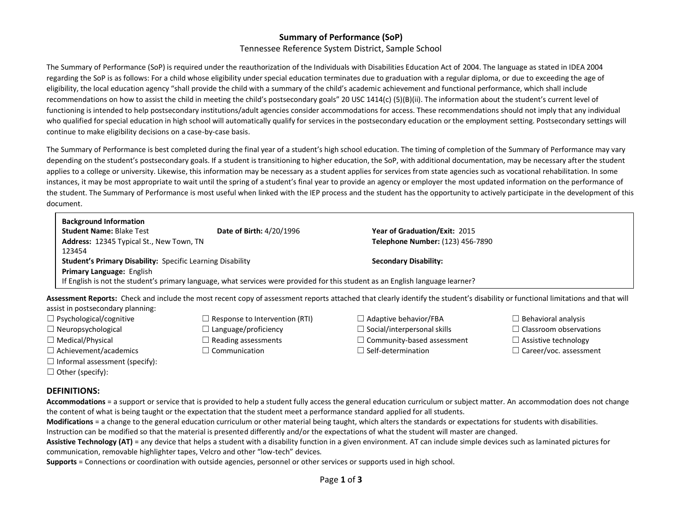## **Summary of Performance (SoP)**  Tennessee Reference System District, Sample School

The Summary of Performance (SoP) is required under the reauthorization of the Individuals with Disabilities Education Act of 2004. The language as stated in IDEA 2004 regarding the SoP is as follows: For a child whose eligibility under special education terminates due to graduation with a regular diploma, or due to exceeding the age of eligibility, the local education agency "shall provide the child with a summary of the child's academic achievement and functional performance, which shall include recommendations on how to assist the child in meeting the child's postsecondary goals" 20 USC 1414(c) (5)(B)(ii). The information about the student's current level of functioning is intended to help postsecondary institutions/adult agencies consider accommodations for access. These recommendations should not imply that any individual who qualified for special education in high school will automatically qualify for services in the postsecondary education or the employment setting. Postsecondary settings will continue to make eligibility decisions on a case-by-case basis.

The Summary of Performance is best completed during the final year of a student's high school education. The timing of completion of the Summary of Performance may vary depending on the student's postsecondary goals. If a student is transitioning to higher education, the SoP, with additional documentation, may be necessary after the student applies to a college or university. Likewise, this information may be necessary as a student applies for services from state agencies such as vocational rehabilitation. In some instances, it may be most appropriate to wait until the spring of a student's final year to provide an agency or employer the most updated information on the performance of the student. The Summary of Performance is most useful when linked with the IEP process and the student has the opportunity to actively participate in the development of this document.

| <b>Background Information</b>                                                                                                  |                          |                                      |  |  |
|--------------------------------------------------------------------------------------------------------------------------------|--------------------------|--------------------------------------|--|--|
| <b>Student Name: Blake Test</b>                                                                                                | Date of Birth: 4/20/1996 | <b>Year of Graduation/Exit: 2015</b> |  |  |
| Address: 12345 Typical St., New Town, TN                                                                                       |                          | Telephone Number: (123) 456-7890     |  |  |
| 123454                                                                                                                         |                          |                                      |  |  |
| <b>Student's Primary Disability: Specific Learning Disability</b>                                                              |                          | <b>Secondary Disability:</b>         |  |  |
| <b>Primary Language: English</b>                                                                                               |                          |                                      |  |  |
| If English is not the student's primary language, what services were provided for this student as an English language learner? |                          |                                      |  |  |

**Assessment Reports:** Check and include the most recent copy of assessment reports attached that clearly identify the student's disability or functional limitations and that will

assist in postsecondary planning:

- 
- 
- 
- 
- $\Box$  Informal assessment (specify):
- $\Box$  Other (specify):
- ☐ Neuropsychological ☐ Language/proficiency ☐ Social/interpersonal skills ☐ Classroom observations
	-
	-
- ☐ Psychological/cognitive ☐ Response to Intervention (RTI) ☐ Adaptive behavior/FBA ☐ Behavioral analysis
	-
- ☐ Medical/Physical ☐ Reading assessments ☐ Community-based assessment ☐ Assistive technology
	-
- 
- 
- 
- ☐ Achievement/academics ☐ Communication ☐ Self-determination ☐ Career/voc. assessment

## **DEFINITIONS:**

**Accommodations** = a support or service that is provided to help a student fully access the general education curriculum or subject matter. An accommodation does not change the content of what is being taught or the expectation that the student meet a performance standard applied for all students.

**Modifications** = a change to the general education curriculum or other material being taught, which alters the standards or expectations for students with disabilities.

Instruction can be modified so that the material is presented differently and/or the expectations of what the student will master are changed.

Assistive Technology (AT) = any device that helps a student with a disability function in a given environment. AT can include simple devices such as laminated pictures for communication, removable highlighter tapes, Velcro and other "low-tech" devices.

**Supports** = Connections or coordination with outside agencies, personnel or other services or supports used in high school.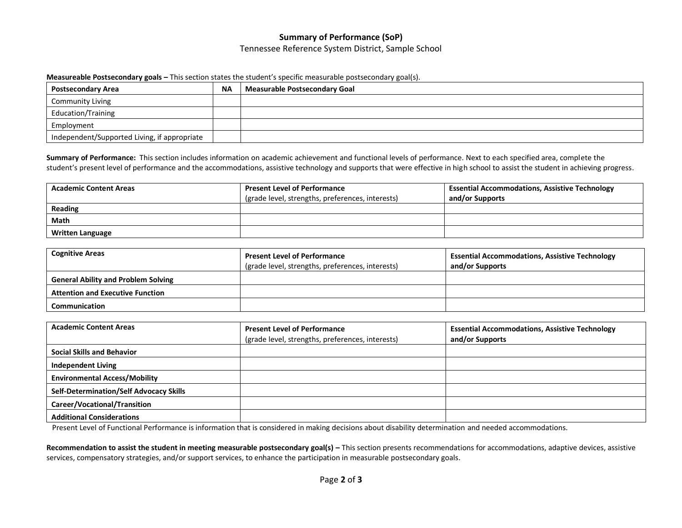# **Summary of Performance (SoP)**

### Tennessee Reference System District, Sample School

#### **Measureable Postsecondary goals –** This section states the student's specific measurable postsecondary goal(s).

| <b>Postsecondary Area</b>                    | <b>NA</b> | <b>Measurable Postsecondary Goal</b> |
|----------------------------------------------|-----------|--------------------------------------|
| <b>Community Living</b>                      |           |                                      |
| <b>Education/Training</b>                    |           |                                      |
| Employment                                   |           |                                      |
| Independent/Supported Living, if appropriate |           |                                      |

**Summary of Performance:** This section includes information on academic achievement and functional levels of performance. Next to each specified area, complete the student's present level of performance and the accommodations, assistive technology and supports that were effective in high school to assist the student in achieving progress.

| <b>Academic Content Areas</b> | <b>Present Level of Performance</b>              | <b>Essential Accommodations, Assistive Technology</b> |
|-------------------------------|--------------------------------------------------|-------------------------------------------------------|
|                               | (grade level, strengths, preferences, interests) | and/or Supports                                       |
| Reading                       |                                                  |                                                       |
| Math                          |                                                  |                                                       |
| <b>Written Language</b>       |                                                  |                                                       |

| <b>Cognitive Areas</b>                     | <b>Present Level of Performance</b><br>(grade level, strengths, preferences, interests) | <b>Essential Accommodations, Assistive Technology</b><br>and/or Supports |
|--------------------------------------------|-----------------------------------------------------------------------------------------|--------------------------------------------------------------------------|
| <b>General Ability and Problem Solving</b> |                                                                                         |                                                                          |
| <b>Attention and Executive Function</b>    |                                                                                         |                                                                          |
| Communication                              |                                                                                         |                                                                          |

| <b>Academic Content Areas</b>                  | <b>Present Level of Performance</b><br>(grade level, strengths, preferences, interests) | <b>Essential Accommodations, Assistive Technology</b><br>and/or Supports |
|------------------------------------------------|-----------------------------------------------------------------------------------------|--------------------------------------------------------------------------|
| <b>Social Skills and Behavior</b>              |                                                                                         |                                                                          |
| <b>Independent Living</b>                      |                                                                                         |                                                                          |
| <b>Environmental Access/Mobility</b>           |                                                                                         |                                                                          |
| <b>Self-Determination/Self Advocacy Skills</b> |                                                                                         |                                                                          |
| Career/Vocational/Transition                   |                                                                                         |                                                                          |
| <b>Additional Considerations</b>               |                                                                                         |                                                                          |

Present Level of Functional Performance is information that is considered in making decisions about disability determination and needed accommodations.

Recommendation to assist the student in meeting measurable postsecondary goal(s) - This section presents recommendations for accommodations, adaptive devices, assistive services, compensatory strategies, and/or support services, to enhance the participation in measurable postsecondary goals.